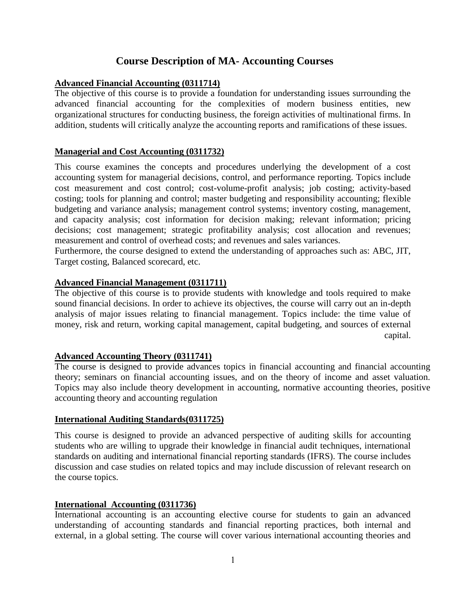# **Course Description of MA- Accounting Courses**

# **Advanced Financial Accounting (0311714)**

The objective of this course is to provide a foundation for understanding issues surrounding the advanced financial accounting for the complexities of modern business entities, new organizational structures for conducting business, the foreign activities of multinational firms. In addition, students will critically analyze the accounting reports and ramifications of these issues.

## **Managerial and Cost Accounting (0311732)**

This course examines the concepts and procedures underlying the development of a cost accounting system for managerial decisions, control, and performance reporting. Topics include cost measurement and cost control; cost-volume-profit analysis; job costing; activity-based costing; tools for planning and control; master budgeting and responsibility accounting; flexible budgeting and variance analysis; management control systems; inventory costing, management, and capacity analysis; cost information for decision making; relevant information; pricing decisions; cost management; strategic profitability analysis; cost allocation and revenues; measurement and control of overhead costs; and revenues and sales variances.

Furthermore, the course designed to extend the understanding of approaches such as: ABC, JIT, Target costing, Balanced scorecard, etc.

## **Advanced Financial Management (0311711)**

The objective of this course is to provide students with knowledge and tools required to make sound financial decisions. In order to achieve its objectives, the course will carry out an in-depth analysis of major issues relating to financial management. Topics include: the time value of money, risk and return, working capital management, capital budgeting, and sources of external capital.

### **Advanced Accounting Theory (0311741)**

The course is designed to provide advances topics in financial accounting and financial accounting theory; seminars on financial accounting issues, and on the theory of income and asset valuation. Topics may also include theory development in accounting, normative accounting theories, positive accounting theory and accounting regulation

### **International Auditing Standards(0311725)**

This course is designed to provide an advanced perspective of auditing skills for accounting students who are willing to upgrade their knowledge in financial audit techniques, international standards on auditing and international financial reporting standards (IFRS). The course includes discussion and case studies on related topics and may include discussion of relevant research on the course topics.

### **International Accounting (0311736)**

International accounting is an accounting elective course for students to gain an advanced understanding of accounting standards and financial reporting practices, both internal and external, in a global setting. The course will cover various international accounting theories and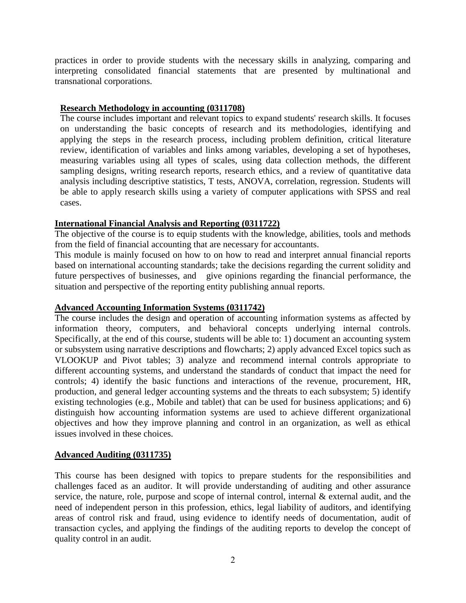practices in order to provide students with the necessary skills in analyzing, comparing and interpreting consolidated financial statements that are presented by multinational and transnational corporations.

#### **Research Methodology in accounting (0311708)**

The course includes important and relevant topics to expand students' research skills. It focuses on understanding the basic concepts of research and its methodologies, identifying and applying the steps in the research process, including problem definition, critical literature review, identification of variables and links among variables, developing a set of hypotheses, measuring variables using all types of scales, using data collection methods, the different sampling designs, writing research reports, research ethics, and a review of quantitative data analysis including descriptive statistics, T tests, ANOVA, correlation, regression. Students will be able to apply research skills using a variety of computer applications with SPSS and real cases.

### **International Financial Analysis and Reporting (0311722)**

The objective of the course is to equip students with the knowledge, abilities, tools and methods from the field of financial accounting that are necessary for accountants.

This module is mainly focused on how to on how to read and interpret annual financial reports based on international accounting standards; take the decisions regarding the current solidity and future perspectives of businesses, and give opinions regarding the financial performance, the situation and perspective of the reporting entity publishing annual reports.

### **Advanced Accounting Information Systems (0311742)**

The course includes the design and operation of accounting information systems as affected by information theory, computers, and behavioral concepts underlying internal controls. Specifically, at the end of this course, students will be able to: 1) document an accounting system or subsystem using narrative descriptions and flowcharts; 2) apply advanced Excel topics such as VLOOKUP and Pivot tables; 3) analyze and recommend internal controls appropriate to different accounting systems, and understand the standards of conduct that impact the need for controls; 4) identify the basic functions and interactions of the revenue, procurement, HR, production, and general ledger accounting systems and the threats to each subsystem; 5) identify existing technologies (e.g., Mobile and tablet) that can be used for business applications; and 6) distinguish how accounting information systems are used to achieve different organizational objectives and how they improve planning and control in an organization, as well as ethical issues involved in these choices.

### **Advanced Auditing (0311735)**

This course has been designed with topics to prepare students for the responsibilities and challenges faced as an auditor. It will provide understanding of auditing and other assurance service, the nature, role, purpose and scope of internal control, internal  $\&$  external audit, and the need of independent person in this profession, ethics, legal liability of auditors, and identifying areas of control risk and fraud, using evidence to identify needs of documentation, audit of transaction cycles, and applying the findings of the auditing reports to develop the concept of quality control in an audit.